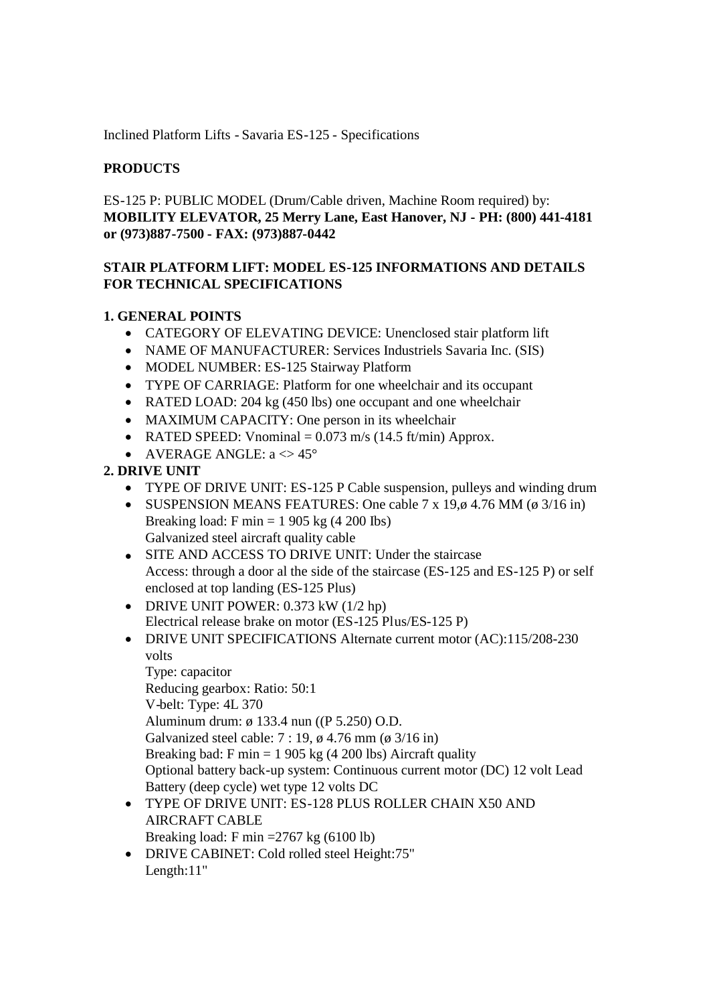Inclined Platform Lifts - Savaria ES-125 - Specifications

## **PRODUCTS**

ES-125 P: PUBLIC MODEL (Drum/Cable driven, Machine Room required) by: **MOBILITY ELEVATOR, 25 Merry Lane, East Hanover, NJ - PH: (800) 441-4181 or (973)887-7500 - FAX: (973)887-0442**

## **STAIR PLATFORM LIFT: MODEL ES-125 INFORMATIONS AND DETAILS FOR TECHNICAL SPECIFICATIONS**

### **1. GENERAL POINTS**

- CATEGORY OF ELEVATING DEVICE: Unenclosed stair platform lift
- NAME OF MANUFACTURER: Services Industriels Savaria Inc. (SIS)
- MODEL NUMBER: ES-125 Stairway Platform
- TYPE OF CARRIAGE: Platform for one wheelchair and its occupant
- RATED LOAD: 204 kg (450 lbs) one occupant and one wheelchair
- MAXIMUM CAPACITY: One person in its wheelchair
- RATED SPEED: Vnominal  $= 0.073$  m/s (14.5 ft/min) Approx.
- AVERAGE ANGLE:  $a \leq 45^\circ$

## **2. DRIVE UNIT**

- TYPE OF DRIVE UNIT: ES-125 P Cable suspension, pulleys and winding drum
- SUSPENSION MEANS FEATURES: One cable 7 x 19, $\phi$  4.76 MM ( $\phi$  3/16 in) Breaking load: F min  $= 1905$  kg (4 200 lbs) Galvanized steel aircraft quality cable
- SITE AND ACCESS TO DRIVE UNIT: Under the staircase Access: through a door al the side of the staircase (ES-125 and ES-125 P) or self enclosed at top landing (ES-125 Plus)
- DRIVE UNIT POWER:  $0.373$  kW  $(1/2$  hp) Electrical release brake on motor (ES-125 Plus/ES-125 P)
- DRIVE UNIT SPECIFICATIONS Alternate current motor (AC):115/208-230 volts

Type: capacitor Reducing gearbox: Ratio: 50:1 V-belt: Type: 4L 370 Aluminum drum: ø 133.4 nun ((P 5.250) O.D. Galvanized steel cable: 7 : 19, ø 4.76 mm (ø 3/16 in) Breaking bad: F min  $= 1905 \text{ kg}$  (4 200 lbs) Aircraft quality Optional battery back-up system: Continuous current motor (DC) 12 volt Lead Battery (deep cycle) wet type 12 volts DC

- TYPE OF DRIVE UNIT: ES-128 PLUS ROLLER CHAIN X50 AND AIRCRAFT CABLE Breaking load: F min =2767 kg (6100 lb)
- DRIVE CABINET: Cold rolled steel Height:75" Length:11"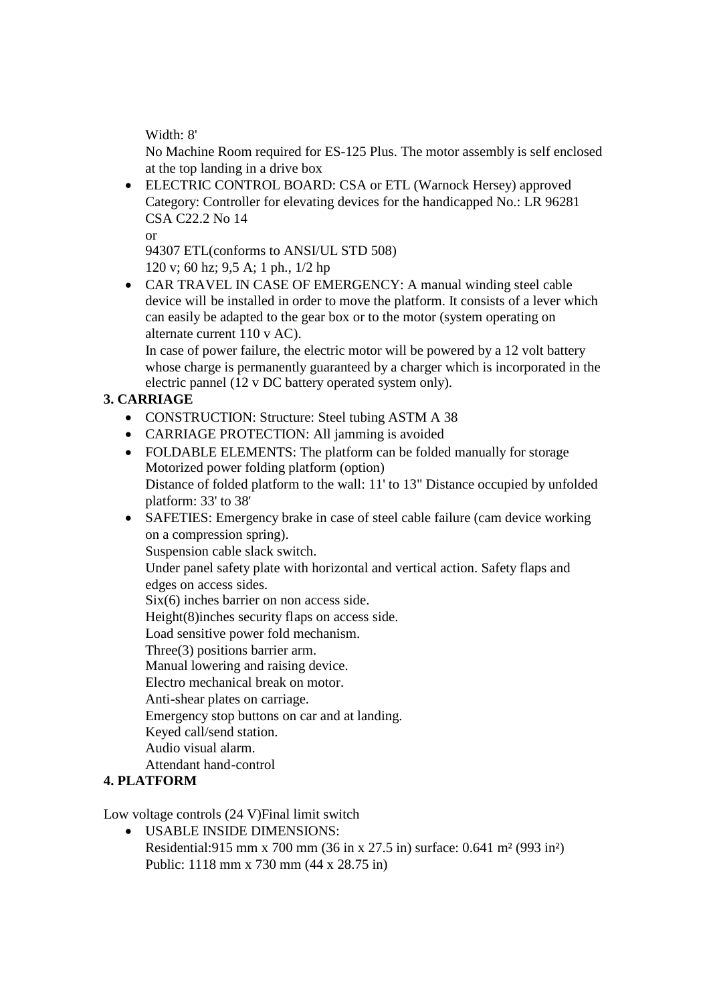Width: 8'

No Machine Room required for ES-125 Plus. The motor assembly is self enclosed at the top landing in a drive box

 ELECTRIC CONTROL BOARD: CSA or ETL (Warnock Hersey) approved Category: Controller for elevating devices for the handicapped No.: LR 96281 CSA C22.2 No 14

or

94307 ETL(conforms to ANSI/UL STD 508) 120 v; 60 hz; 9,5 A; 1 ph., 1/2 hp

 CAR TRAVEL IN CASE OF EMERGENCY: A manual winding steel cable device will be installed in order to move the platform. It consists of a lever which can easily be adapted to the gear box or to the motor (system operating on alternate current 110 v AC).

In case of power failure, the electric motor will be powered by a 12 volt battery whose charge is permanently guaranteed by a charger which is incorporated in the electric pannel (12 v DC battery operated system only).

# **3. CARRIAGE**

- CONSTRUCTION: Structure: Steel tubing ASTM A 38
- CARRIAGE PROTECTION: All jamming is avoided
- FOLDABLE ELEMENTS: The platform can be folded manually for storage Motorized power folding platform (option) Distance of folded platform to the wall: 11' to 13" Distance occupied by unfolded platform: 33' to 38'
- SAFETIES: Emergency brake in case of steel cable failure (cam device working on a compression spring).

Suspension cable slack switch.

Under panel safety plate with horizontal and vertical action. Safety flaps and edges on access sides.

Six(6) inches barrier on non access side.

Height(8)inches security flaps on access side.

Load sensitive power fold mechanism.

Three(3) positions barrier arm.

Manual lowering and raising device.

Electro mechanical break on motor.

Anti-shear plates on carriage.

Emergency stop buttons on car and at landing.

Keyed call/send station.

Audio visual alarm.

Attendant hand-control

## **4. PLATFORM**

Low voltage controls (24 V)Final limit switch

 USABLE INSIDE DIMENSIONS: Residential:915 mm x 700 mm (36 in x 27.5 in) surface: 0.641 m² (993 in²) Public: 1118 mm x 730 mm (44 x 28.75 in)